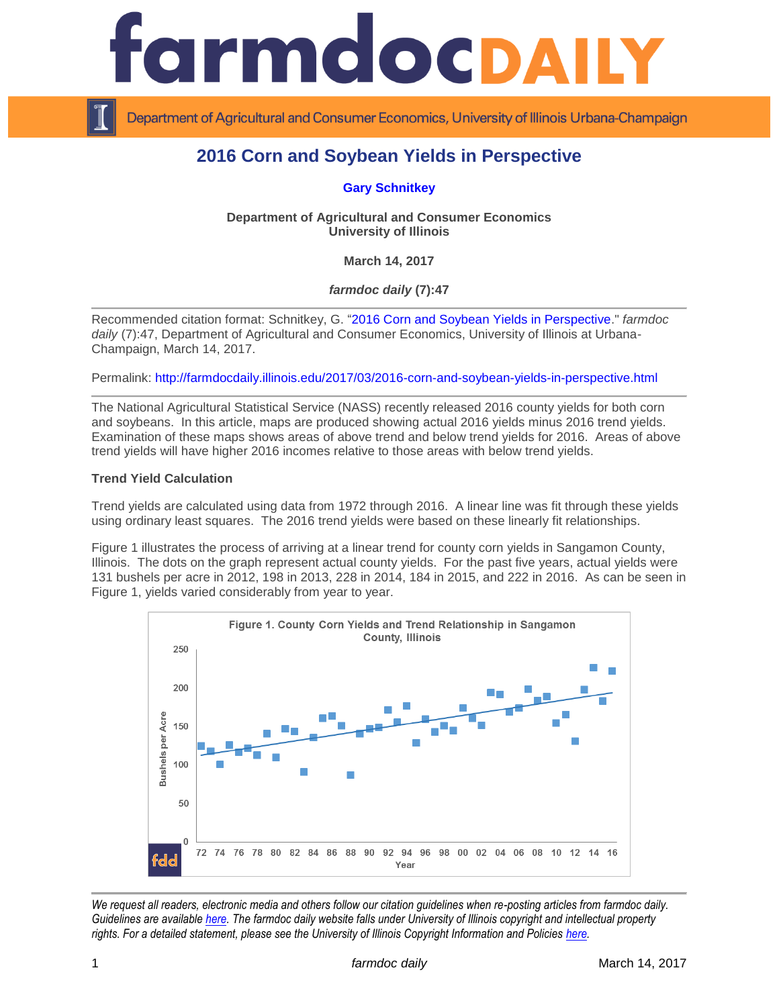

Department of Agricultural and Consumer Economics, University of Illinois Urbana-Champaign

# **2016 Corn and Soybean Yields in Perspective**

**[Gary Schnitkey](http://farmdoc.illinois.edu/schnitkey)**

**Department of Agricultural and Consumer Economics University of Illinois**

**March 14, 2017**

*farmdoc daily* **(7):47**

Recommended citation format: Schnitkey, G. ["2016 Corn and Soybean Yields in Perspective.](http://farmdocdaily.illinois.edu/2017/03/2016-corn-and-soybean-yields-in-perspective.html)" *farmdoc* daily (7):47, Department of Agricultural and Consumer Economics, University of Illinois at Urbana-Champaign, March 14, 2017.

Permalink: <http://farmdocdaily.illinois.edu/2017/03/2016-corn-and-soybean-yields-in-perspective.html>

The National Agricultural Statistical Service (NASS) recently released 2016 county yields for both corn and soybeans. In this article, maps are produced showing actual 2016 yields minus 2016 trend yields. Examination of these maps shows areas of above trend and below trend yields for 2016. Areas of above trend yields will have higher 2016 incomes relative to those areas with below trend yields.

### **Trend Yield Calculation**

Trend yields are calculated using data from 1972 through 2016. A linear line was fit through these yields using ordinary least squares. The 2016 trend yields were based on these linearly fit relationships.

Figure 1 illustrates the process of arriving at a linear trend for county corn yields in Sangamon County, Illinois. The dots on the graph represent actual county yields. For the past five years, actual yields were 131 bushels per acre in 2012, 198 in 2013, 228 in 2014, 184 in 2015, and 222 in 2016. As can be seen in Figure 1, yields varied considerably from year to year.



*We request all readers, electronic media and others follow our citation guidelines when re-posting articles from farmdoc daily. Guidelines are available [here.](http://farmdocdaily.illinois.edu/citationguide.html) The farmdoc daily website falls under University of Illinois copyright and intellectual property rights. For a detailed statement, please see the University of Illinois Copyright Information and Policies [here.](http://www.cio.illinois.edu/policies/copyright/)*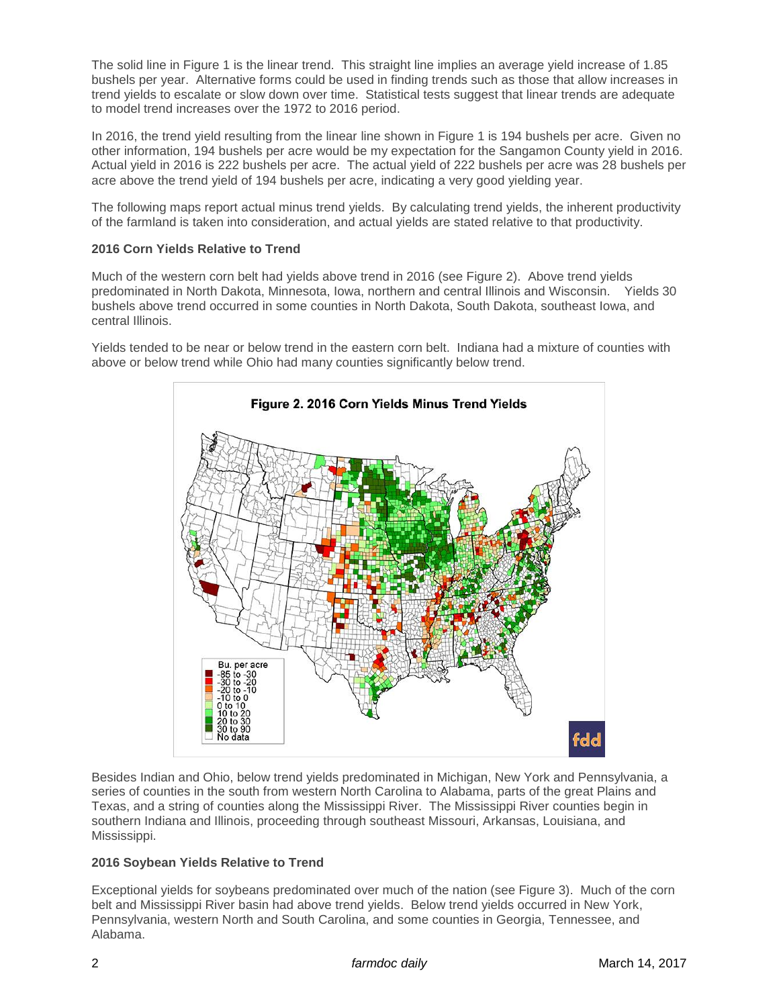The solid line in Figure 1 is the linear trend. This straight line implies an average yield increase of 1.85 bushels per year. Alternative forms could be used in finding trends such as those that allow increases in trend yields to escalate or slow down over time. Statistical tests suggest that linear trends are adequate to model trend increases over the 1972 to 2016 period.

In 2016, the trend yield resulting from the linear line shown in Figure 1 is 194 bushels per acre. Given no other information, 194 bushels per acre would be my expectation for the Sangamon County yield in 2016. Actual yield in 2016 is 222 bushels per acre. The actual yield of 222 bushels per acre was 28 bushels per acre above the trend yield of 194 bushels per acre, indicating a very good yielding year.

The following maps report actual minus trend yields. By calculating trend yields, the inherent productivity of the farmland is taken into consideration, and actual yields are stated relative to that productivity.

## **2016 Corn Yields Relative to Trend**

Much of the western corn belt had yields above trend in 2016 (see Figure 2). Above trend yields predominated in North Dakota, Minnesota, Iowa, northern and central Illinois and Wisconsin. Yields 30 bushels above trend occurred in some counties in North Dakota, South Dakota, southeast Iowa, and central Illinois.

Yields tended to be near or below trend in the eastern corn belt. Indiana had a mixture of counties with above or below trend while Ohio had many counties significantly below trend.



Besides Indian and Ohio, below trend yields predominated in Michigan, New York and Pennsylvania, a series of counties in the south from western North Carolina to Alabama, parts of the great Plains and Texas, and a string of counties along the Mississippi River. The Mississippi River counties begin in southern Indiana and Illinois, proceeding through southeast Missouri, Arkansas, Louisiana, and Mississippi.

### **2016 Soybean Yields Relative to Trend**

Exceptional yields for soybeans predominated over much of the nation (see Figure 3). Much of the corn belt and Mississippi River basin had above trend yields. Below trend yields occurred in New York, Pennsylvania, western North and South Carolina, and some counties in Georgia, Tennessee, and Alabama.